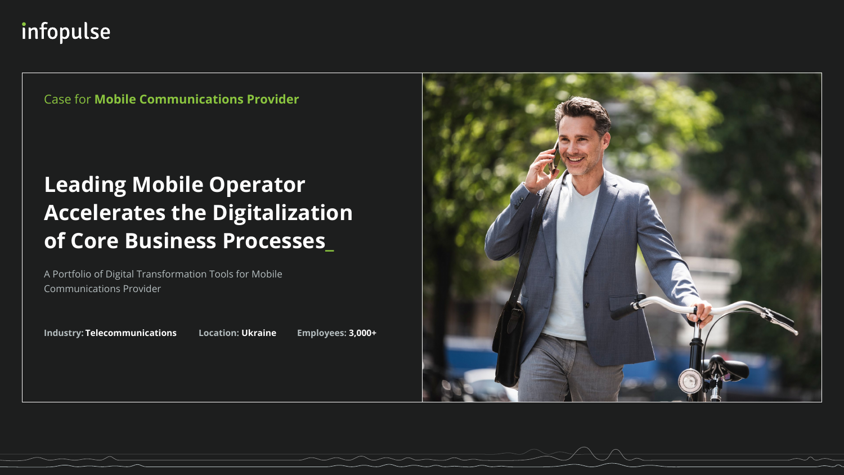**Industry: Telecommunications Location: Ukraine Employees: 3,000+**





A Portfolio of Digital Transformation Tools for Mobile Communications Provider

# **Leading Mobile Operator Accelerates the Digitalization of Core Business Processes\_**

# infopulse

Case for **Mobile Communications Provider**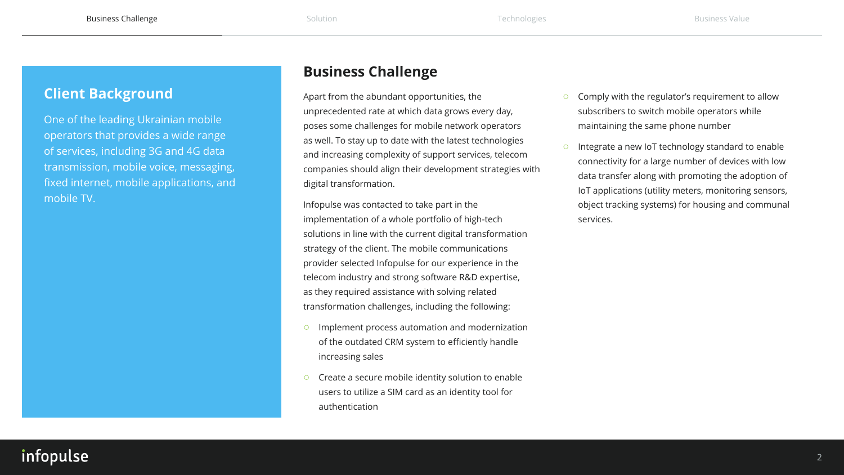

## **Business Challenge**

Apart from the abundant opportunities, the unprecedented rate at which data grows every day, poses some challenges for mobile network operators as well. To stay up to date with the latest technologies and increasing complexity of support services, telecom companies should align their development strategies with digital transformation.

Implement process automation and modernization of the outdated CRM system to efficiently handle

Create a secure mobile identity solution to enable users to utilize a SIM card as an identity tool for

Infopulse was contacted to take part in the implementation of a whole portfolio of high-tech solutions in line with the current digital transformation strategy of the client. The mobile communications provider selected Infopulse for our experience in the telecom industry and strong software R&D expertise, as they required assistance with solving related transformation challenges, including the following:

- increasing sales
- authentication

## infopulse

- Comply with the regulator's requirement to allow subscribers to switch mobile operators while maintaining the same phone number
- Integrate a new IoT technology standard to enable connectivity for a large number of devices with low data transfer along with promoting the adoption of IoT applications (utility meters, monitoring sensors, object tracking systems) for housing and communal services.

## <span id="page-1-0"></span>**Client Background**

One of the leading Ukrainian mobile operators that provides a wide range of services, including 3G and 4G data transmission, mobile voice, messaging, fixed internet, mobile applications, and mobile TV.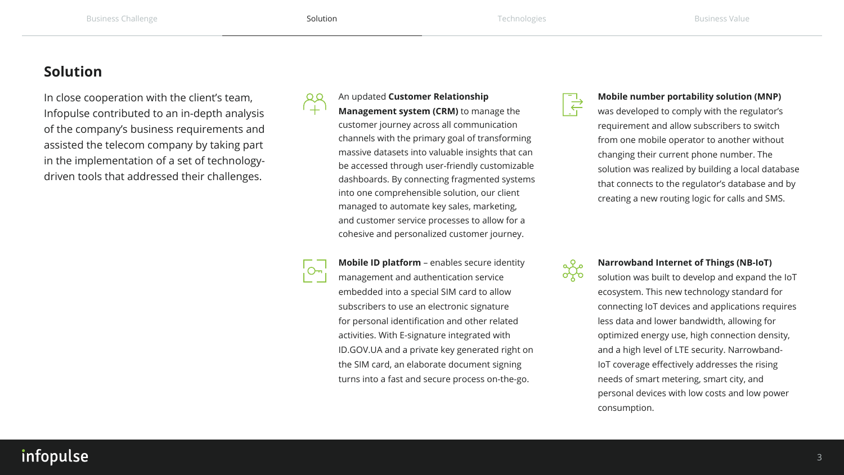

## <span id="page-2-0"></span>**Solution**

In close cooperation with the client's team, Infopulse contributed to an in-depth analysis of the company's business requirements and assisted the telecom company by taking part in the implementation of a set of technologydriven tools that addressed their challenges.



### An updated **Customer Relationship**



**Management system (CRM)** to manage the customer journey across all communication channels with the primary goal of transforming massive datasets into valuable insights that can be accessed through user-friendly customizable dashboards. By connecting fragmented systems into one comprehensible solution, our client managed to automate key sales, marketing, and customer service processes to allow for a cohesive and personalized customer journey.

**Mobile ID platform** – enables secure identity management and authentication service embedded into a special SIM card to allow subscribers to use an electronic signature for personal identification and other related activities. With E-signature integrated with ID.GOV.UA and a private key generated right on the SIM card, an elaborate document signing turns into a fast and secure process on-the-go.

## infopulse

#### **Narrowband Internet of Things (NB-IoT)**

solution was built to develop and expand the IoT ecosystem. This new technology standard for connecting IoT devices and applications requires less data and lower bandwidth, allowing for optimized energy use, high connection density, and a high level of LTE security. Narrowband-IoT coverage effectively addresses the rising needs of smart metering, smart city, and personal devices with low costs and low power consumption.



### **Mobile number portability solution (MNP)**

was developed to comply with the regulator's requirement and allow subscribers to switch from one mobile operator to another without changing their current phone number. The solution was realized by building a local database that connects to the regulator's database and by creating a new routing logic for calls and SMS.

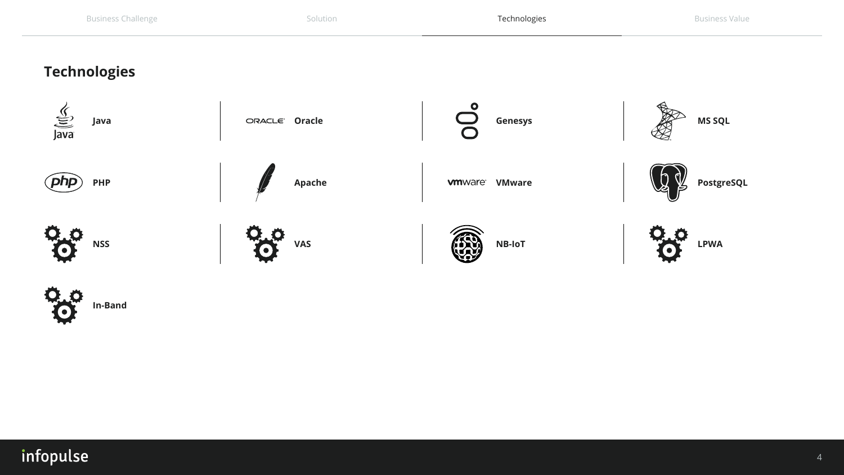

## <span id="page-3-0"></span>**Technologies**





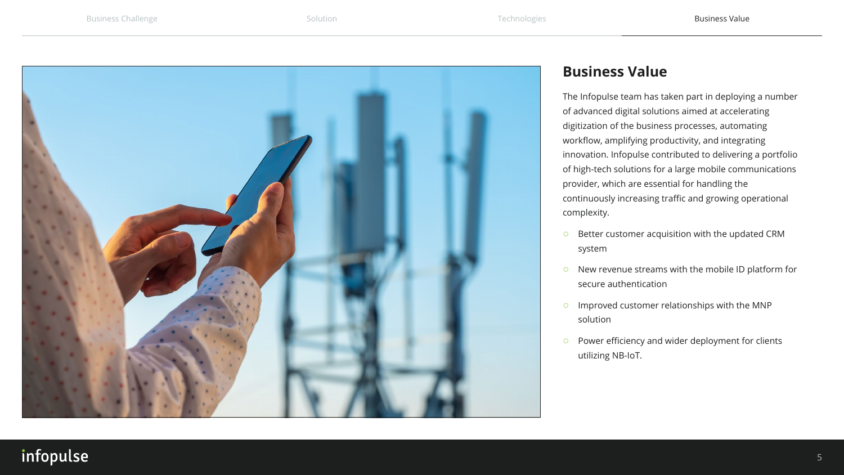<span id="page-4-0"></span>

## infopulse



## **Business Value**

The Infopulse team has taken part in deploying a number of advanced digital solutions aimed at accelerating digitization of the business processes, automating workflow, amplifying productivity, and integrating innovation. Infopulse contributed to delivering a portfolio of high-tech solutions for a large mobile communications provider, which are essential for handling the continuously increasing traffic and growing operational complexity.

- Better customer acquisition with the updated CRM system
- New revenue streams with the mobile ID platform for secure authentication
- Improved customer relationships with the MNP solution
- Power efficiency and wider deployment for clients utilizing NB-IoT.